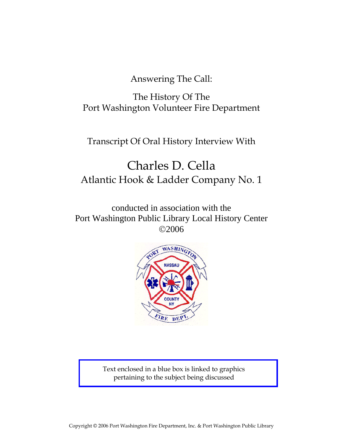Answering The Call:

The History Of The Port Washington Volunteer Fire Department

Transcript Of Oral History Interview With

# Charles D. Cella Atlantic Hook & Ladder Company No. 1

conducted in association with the Port Washington Public Library Local History Center ©2006



Text enclosed in a blue box is linked to graphics pertaining to the subject being discussed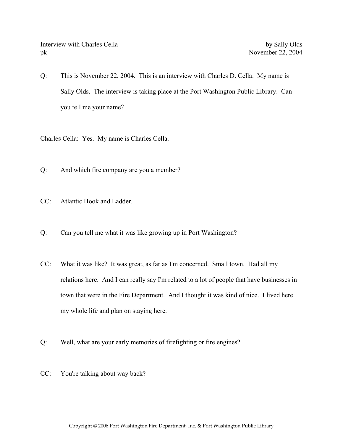Q: This is November 22, 2004. This is an interview with Charles D. Cella. My name is Sally Olds. The interview is taking place at the Port Washington Public Library. Can you tell me your name?

Charles Cella: Yes. My name is Charles Cella.

- Q: And which fire company are you a member?
- CC: Atlantic Hook and Ladder.
- Q: Can you tell me what it was like growing up in Port Washington?
- CC: What it was like? It was great, as far as I'm concerned. Small town. Had all my relations here. And I can really say I'm related to a lot of people that have businesses in town that were in the Fire Department. And I thought it was kind of nice. I lived here my whole life and plan on staying here.
- Q: Well, what are your early memories of firefighting or fire engines?
- CC: You're talking about way back?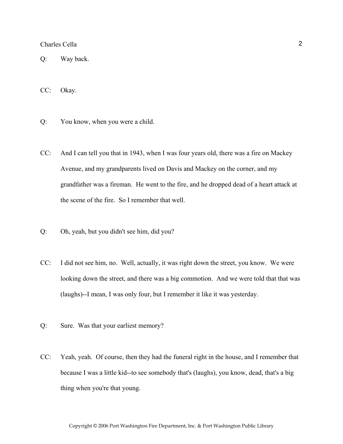Q: Way back.

CC: Okay.

- Q: You know, when you were a child.
- CC: And I can tell you that in 1943, when I was four years old, there was a fire on Mackey Avenue, and my grandparents lived on Davis and Mackey on the corner, and my grandfather was a fireman. He went to the fire, and he dropped dead of a heart attack at the scene of the fire. So I remember that well.
- Q: Oh, yeah, but you didn't see him, did you?
- CC: I did not see him, no. Well, actually, it was right down the street, you know. We were looking down the street, and there was a big commotion. And we were told that that was (laughs)--I mean, I was only four, but I remember it like it was yesterday.
- Q: Sure. Was that your earliest memory?
- CC: Yeah, yeah. Of course, then they had the funeral right in the house, and I remember that because I was a little kid--to see somebody that's (laughs), you know, dead, that's a big thing when you're that young.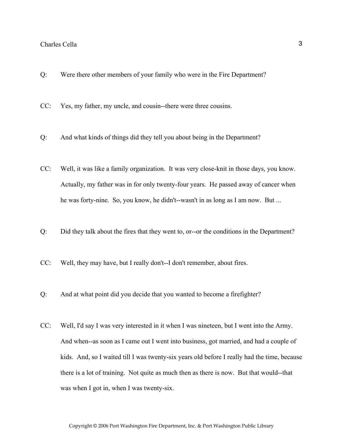- Q: Were there other members of your family who were in the Fire Department?
- CC: Yes, my father, my uncle, and cousin--there were three cousins.
- Q: And what kinds of things did they tell you about being in the Department?
- CC: Well, it was like a family organization. It was very close-knit in those days, you know. Actually, my father was in for only twenty-four years. He passed away of cancer when he was forty-nine. So, you know, he didn't--wasn't in as long as I am now. But ...
- Q: Did they talk about the fires that they went to, or--or the conditions in the Department?
- CC: Well, they may have, but I really don't--I don't remember, about fires.
- Q: And at what point did you decide that you wanted to become a firefighter?
- CC: Well, I'd say I was very interested in it when I was nineteen, but I went into the Army. And when--as soon as I came out I went into business, got married, and had a couple of kids. And, so I waited till I was twenty-six years old before I really had the time, because there is a lot of training. Not quite as much then as there is now. But that would--that was when I got in, when I was twenty-six.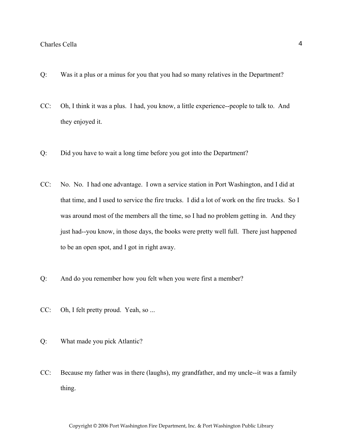- Q: Was it a plus or a minus for you that you had so many relatives in the Department?
- CC: Oh, I think it was a plus. I had, you know, a little experience--people to talk to. And they enjoyed it.
- Q: Did you have to wait a long time before you got into the Department?
- CC: No. No. I had one advantage. I own a service station in Port Washington, and I did at that time, and I used to service the fire trucks. I did a lot of work on the fire trucks. So I was around most of the members all the time, so I had no problem getting in. And they just had--you know, in those days, the books were pretty well full. There just happened to be an open spot, and I got in right away.
- Q: And do you remember how you felt when you were first a member?
- CC: Oh, I felt pretty proud. Yeah, so ...
- Q: What made you pick Atlantic?
- CC: Because my father was in there (laughs), my grandfather, and my uncle--it was a family thing.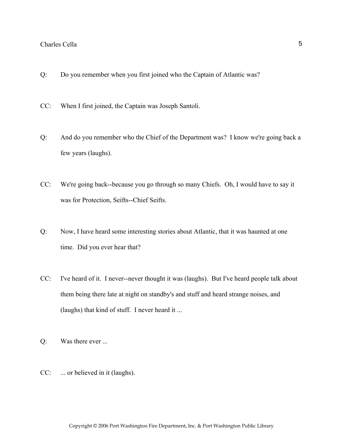- Q: Do you remember when you first joined who the Captain of Atlantic was?
- CC: When I first joined, the Captain was Joseph Santoli.
- Q: And do you remember who the Chief of the Department was? I know we're going back a few years (laughs).
- CC: We're going back--because you go through so many Chiefs. Oh, I would have to say it was for Protection, Seifts--Chief Seifts.
- Q: Now, I have heard some interesting stories about Atlantic, that it was haunted at one time. Did you ever hear that?
- CC: I've heard of it. I never--never thought it was (laughs). But I've heard people talk about them being there late at night on standby's and stuff and heard strange noises, and (laughs) that kind of stuff. I never heard it ...
- Q: Was there ever ...
- CC: ... or believed in it (laughs).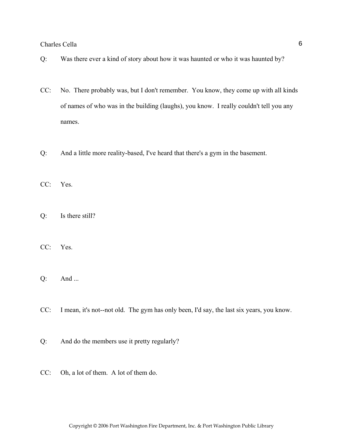- Q: Was there ever a kind of story about how it was haunted or who it was haunted by?
- CC: No. There probably was, but I don't remember. You know, they come up with all kinds of names of who was in the building (laughs), you know. I really couldn't tell you any names.
- Q: And a little more reality-based, I've heard that there's a gym in the basement.
- CC: Yes.
- Q: Is there still?
- CC: Yes.
- Q: And ...
- CC: I mean, it's not--not old. The gym has only been, I'd say, the last six years, you know.
- Q: And do the members use it pretty regularly?
- CC: Oh, a lot of them. A lot of them do.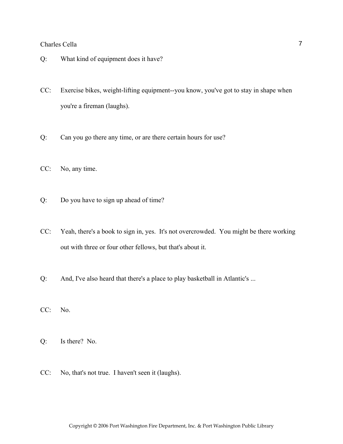- Q: What kind of equipment does it have?
- CC: Exercise bikes, weight-lifting equipment--you know, you've got to stay in shape when you're a fireman (laughs).
- Q: Can you go there any time, or are there certain hours for use?
- CC: No, any time.
- Q: Do you have to sign up ahead of time?
- CC: Yeah, there's a book to sign in, yes. It's not overcrowded. You might be there working out with three or four other fellows, but that's about it.
- Q: And, I've also heard that there's a place to play basketball in Atlantic's ...
- CC: No.
- Q: Is there? No.
- CC: No, that's not true. I haven't seen it (laughs).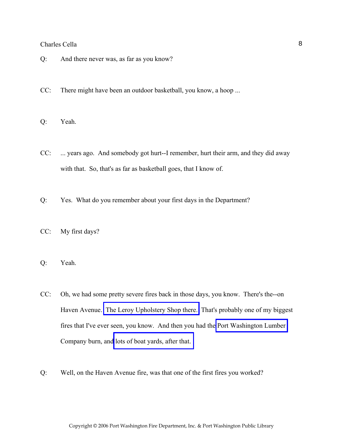- Q: And there never was, as far as you know?
- CC: There might have been an outdoor basketball, you know, a hoop ...
- Q: Yeah.
- CC: ... years ago. And somebody got hurt--I remember, hurt their arm, and they did away with that. So, that's as far as basketball goes, that I know of.
- Q: Yes. What do you remember about your first days in the Department?
- CC: My first days?
- Q: Yeah.
- CC: Oh, we had some pretty severe fires back in those days, you know. There's the--on Haven Avenue. [The Leroy Upholstery Shop there.](http://www.pwfdhistory.com/trans/cellac_trans/pwfd_news039.pdf) That's probably one of my biggest fires that I've ever seen, you know. And then you had the [Port Washington Lumber](http://www.pwfdhistory.com/trans/cellac_trans/peco_fires022.jpg)  Company burn, and [lots of boat yards, after that.](http://www.pwfdhistory.com/trans/cellac_trans/fhh_fires004a.jpg)
- Q: Well, on the Haven Avenue fire, was that one of the first fires you worked?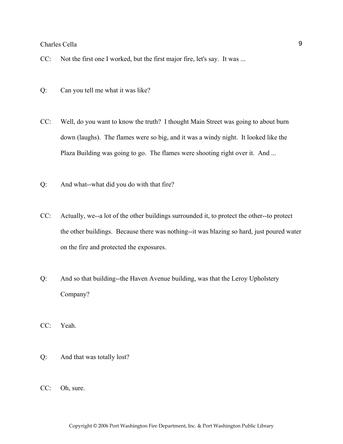CC: Not the first one I worked, but the first major fire, let's say. It was ...

- Q: Can you tell me what it was like?
- CC: Well, do you want to know the truth? I thought Main Street was going to about burn down (laughs). The flames were so big, and it was a windy night. It looked like the Plaza Building was going to go. The flames were shooting right over it. And ...
- Q: And what--what did you do with that fire?
- CC: Actually, we--a lot of the other buildings surrounded it, to protect the other--to protect the other buildings. Because there was nothing--it was blazing so hard, just poured water on the fire and protected the exposures.
- Q: And so that building--the Haven Avenue building, was that the Leroy Upholstery Company?
- CC: Yeah.
- Q: And that was totally lost?
- CC: Oh, sure.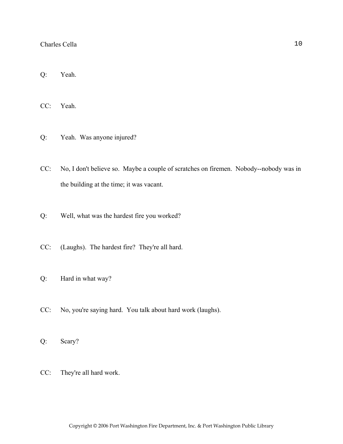Q: Yeah.

CC: Yeah.

Q: Yeah. Was anyone injured?

- CC: No, I don't believe so. Maybe a couple of scratches on firemen. Nobody--nobody was in the building at the time; it was vacant.
- Q: Well, what was the hardest fire you worked?
- CC: (Laughs). The hardest fire? They're all hard.
- Q: Hard in what way?
- CC: No, you're saying hard. You talk about hard work (laughs).
- Q: Scary?
- CC: They're all hard work.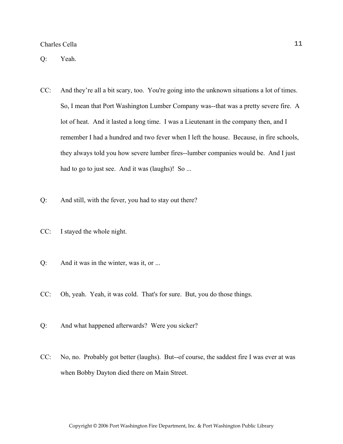Q: Yeah.

- CC: And they're all a bit scary, too. You're going into the unknown situations a lot of times. So, I mean that Port Washington Lumber Company was--that was a pretty severe fire. A lot of heat. And it lasted a long time. I was a Lieutenant in the company then, and I remember I had a hundred and two fever when I left the house. Because, in fire schools, they always told you how severe lumber fires--lumber companies would be. And I just had to go to just see. And it was (laughs)! So ...
- Q: And still, with the fever, you had to stay out there?
- CC: I stayed the whole night.
- Q: And it was in the winter, was it, or ...
- CC: Oh, yeah. Yeah, it was cold. That's for sure. But, you do those things.
- Q: And what happened afterwards? Were you sicker?
- CC: No, no. Probably got better (laughs). But--of course, the saddest fire I was ever at was when Bobby Dayton died there on Main Street.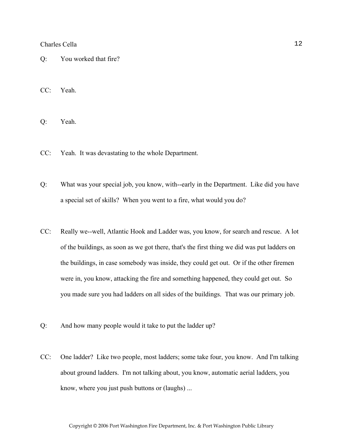Q: You worked that fire?

CC: Yeah.

Q: Yeah.

- CC: Yeah. It was devastating to the whole Department.
- Q: What was your special job, you know, with--early in the Department. Like did you have a special set of skills? When you went to a fire, what would you do?
- CC: Really we--well, Atlantic Hook and Ladder was, you know, for search and rescue. A lot of the buildings, as soon as we got there, that's the first thing we did was put ladders on the buildings, in case somebody was inside, they could get out. Or if the other firemen were in, you know, attacking the fire and something happened, they could get out. So you made sure you had ladders on all sides of the buildings. That was our primary job.
- Q: And how many people would it take to put the ladder up?
- CC: One ladder? Like two people, most ladders; some take four, you know. And I'm talking about ground ladders. I'm not talking about, you know, automatic aerial ladders, you know, where you just push buttons or (laughs) ...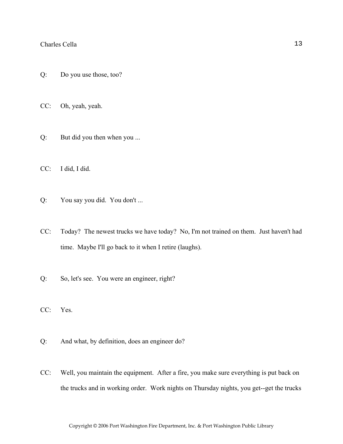- Q: Do you use those, too?
- CC: Oh, yeah, yeah.
- Q: But did you then when you ...
- CC: I did, I did.
- Q: You say you did. You don't ...
- CC: Today? The newest trucks we have today? No, I'm not trained on them. Just haven't had time. Maybe I'll go back to it when I retire (laughs).
- Q: So, let's see. You were an engineer, right?
- CC: Yes.
- Q: And what, by definition, does an engineer do?
- CC: Well, you maintain the equipment. After a fire, you make sure everything is put back on the trucks and in working order. Work nights on Thursday nights, you get--get the trucks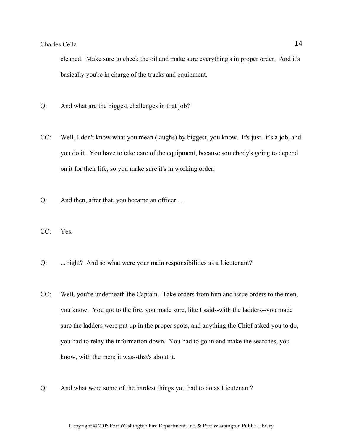cleaned. Make sure to check the oil and make sure everything's in proper order. And it's basically you're in charge of the trucks and equipment.

- Q: And what are the biggest challenges in that job?
- CC: Well, I don't know what you mean (laughs) by biggest, you know. It's just--it's a job, and you do it. You have to take care of the equipment, because somebody's going to depend on it for their life, so you make sure it's in working order.
- Q: And then, after that, you became an officer ...
- CC: Yes.
- Q: ... right? And so what were your main responsibilities as a Lieutenant?
- CC: Well, you're underneath the Captain. Take orders from him and issue orders to the men, you know. You got to the fire, you made sure, like I said--with the ladders--you made sure the ladders were put up in the proper spots, and anything the Chief asked you to do, you had to relay the information down. You had to go in and make the searches, you know, with the men; it was--that's about it.
- Q: And what were some of the hardest things you had to do as Lieutenant?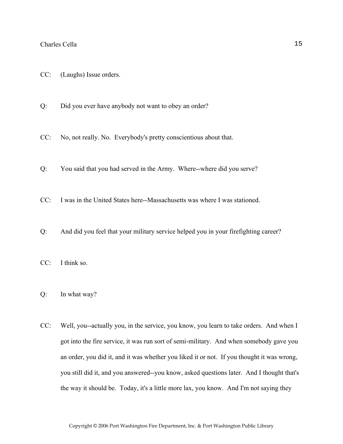- CC: (Laughs) Issue orders.
- Q: Did you ever have anybody not want to obey an order?
- CC: No, not really. No. Everybody's pretty conscientious about that.
- Q: You said that you had served in the Army. Where--where did you serve?
- CC: I was in the United States here--Massachusetts was where I was stationed.
- Q: And did you feel that your military service helped you in your firefighting career?
- CC: I think so.
- Q: In what way?
- CC: Well, you--actually you, in the service, you know, you learn to take orders. And when I got into the fire service, it was run sort of semi-military. And when somebody gave you an order, you did it, and it was whether you liked it or not. If you thought it was wrong, you still did it, and you answered--you know, asked questions later. And I thought that's the way it should be. Today, it's a little more lax, you know. And I'm not saying they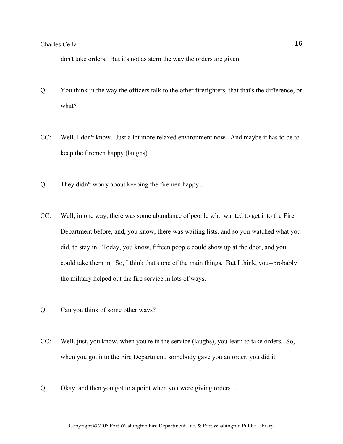don't take orders. But it's not as stern the way the orders are given.

- Q: You think in the way the officers talk to the other firefighters, that that's the difference, or what?
- CC: Well, I don't know. Just a lot more relaxed environment now. And maybe it has to be to keep the firemen happy (laughs).
- Q: They didn't worry about keeping the firemen happy ...
- CC: Well, in one way, there was some abundance of people who wanted to get into the Fire Department before, and, you know, there was waiting lists, and so you watched what you did, to stay in. Today, you know, fifteen people could show up at the door, and you could take them in. So, I think that's one of the main things. But I think, you--probably the military helped out the fire service in lots of ways.
- Q: Can you think of some other ways?
- CC: Well, just, you know, when you're in the service (laughs), you learn to take orders. So, when you got into the Fire Department, somebody gave you an order, you did it.
- Q: Okay, and then you got to a point when you were giving orders ...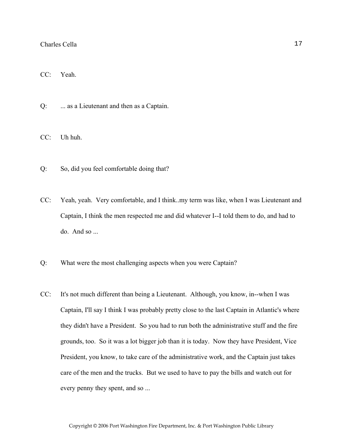CC: Yeah.

Q: ... as a Lieutenant and then as a Captain.

CC: Uh huh.

- Q: So, did you feel comfortable doing that?
- CC: Yeah, yeah. Very comfortable, and I think..my term was like, when I was Lieutenant and Captain, I think the men respected me and did whatever I--I told them to do, and had to do. And so ...
- Q: What were the most challenging aspects when you were Captain?
- CC: It's not much different than being a Lieutenant. Although, you know, in--when I was Captain, I'll say I think I was probably pretty close to the last Captain in Atlantic's where they didn't have a President. So you had to run both the administrative stuff and the fire grounds, too. So it was a lot bigger job than it is today. Now they have President, Vice President, you know, to take care of the administrative work, and the Captain just takes care of the men and the trucks. But we used to have to pay the bills and watch out for every penny they spent, and so ...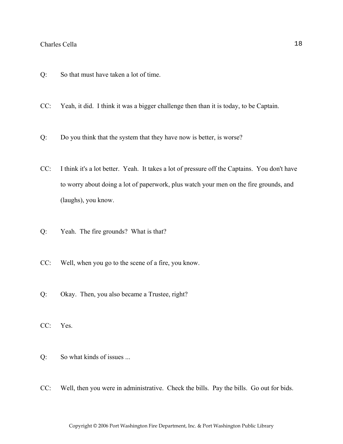- Q: So that must have taken a lot of time.
- CC: Yeah, it did. I think it was a bigger challenge then than it is today, to be Captain.
- Q: Do you think that the system that they have now is better, is worse?
- CC: I think it's a lot better. Yeah. It takes a lot of pressure off the Captains. You don't have to worry about doing a lot of paperwork, plus watch your men on the fire grounds, and (laughs), you know.
- Q: Yeah. The fire grounds? What is that?
- CC: Well, when you go to the scene of a fire, you know.
- Q: Okay. Then, you also became a Trustee, right?
- CC: Yes.
- Q: So what kinds of issues ...
- CC: Well, then you were in administrative. Check the bills. Pay the bills. Go out for bids.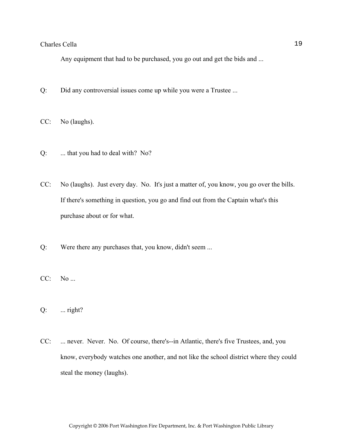Any equipment that had to be purchased, you go out and get the bids and ...

- Q: Did any controversial issues come up while you were a Trustee ...
- CC: No (laughs).
- Q: ... that you had to deal with? No?
- CC: No (laughs). Just every day. No. It's just a matter of, you know, you go over the bills. If there's something in question, you go and find out from the Captain what's this purchase about or for what.
- Q: Were there any purchases that, you know, didn't seem ...
- CC: No ...
- $Q:$  ... right?
- CC: ... never. Never. No. Of course, there's--in Atlantic, there's five Trustees, and, you know, everybody watches one another, and not like the school district where they could steal the money (laughs).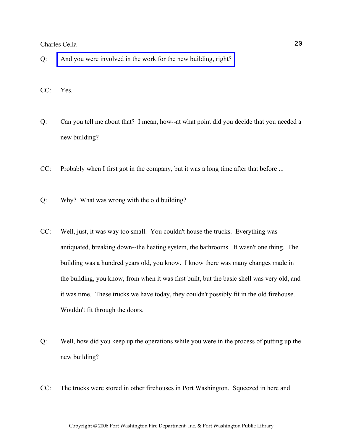- Q: [And you were involved in the work for the new building, right?](http://www.pwfdhistory.com/trans/cellac_trans/ahlco_bldg03.jpg)
- CC: Yes.
- Q: Can you tell me about that? I mean, how--at what point did you decide that you needed a new building?
- CC: Probably when I first got in the company, but it was a long time after that before ...
- Q: Why? What was wrong with the old building?
- CC: Well, just, it was way too small. You couldn't house the trucks. Everything was antiquated, breaking down--the heating system, the bathrooms. It wasn't one thing. The building was a hundred years old, you know. I know there was many changes made in the building, you know, from when it was first built, but the basic shell was very old, and it was time. These trucks we have today, they couldn't possibly fit in the old firehouse. Wouldn't fit through the doors.
- Q: Well, how did you keep up the operations while you were in the process of putting up the new building?
- CC: The trucks were stored in other firehouses in Port Washington. Squeezed in here and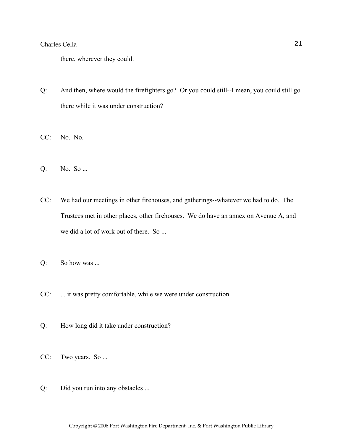there, wherever they could.

- Q: And then, where would the firefighters go? Or you could still--I mean, you could still go there while it was under construction?
- CC: No. No.
- Q: No. So ...
- CC: We had our meetings in other firehouses, and gatherings--whatever we had to do. The Trustees met in other places, other firehouses. We do have an annex on Avenue A, and we did a lot of work out of there. So ...
- Q: So how was ...
- CC: ... it was pretty comfortable, while we were under construction.
- Q: How long did it take under construction?
- CC: Two years. So ...
- Q: Did you run into any obstacles ...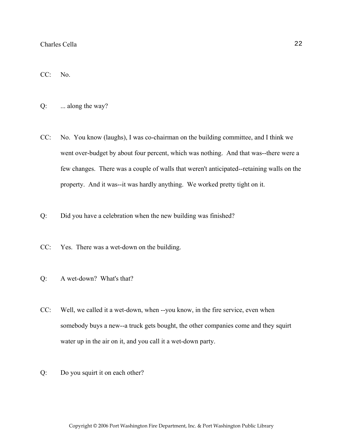CC: No.

Q: ... along the way?

- CC: No. You know (laughs), I was co-chairman on the building committee, and I think we went over-budget by about four percent, which was nothing. And that was--there were a few changes. There was a couple of walls that weren't anticipated--retaining walls on the property. And it was--it was hardly anything. We worked pretty tight on it.
- Q: Did you have a celebration when the new building was finished?
- CC: Yes. There was a wet-down on the building.
- Q: A wet-down? What's that?
- CC: Well, we called it a wet-down, when --you know, in the fire service, even when somebody buys a new--a truck gets bought, the other companies come and they squirt water up in the air on it, and you call it a wet-down party.
- Q: Do you squirt it on each other?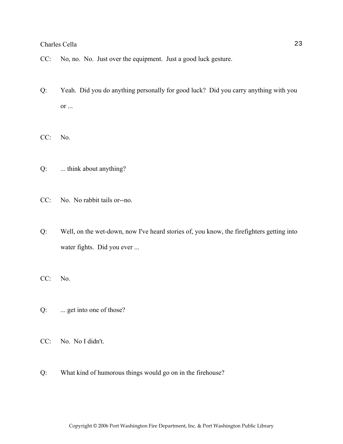- CC: No, no. No. Just over the equipment. Just a good luck gesture.
- Q: Yeah. Did you do anything personally for good luck? Did you carry anything with you or ...
- CC: No.
- Q: ... think about anything?
- CC: No. No rabbit tails or--no.
- Q: Well, on the wet-down, now I've heard stories of, you know, the firefighters getting into water fights. Did you ever ...
- CC: No.
- Q: ... get into one of those?
- CC: No. No I didn't.
- Q: What kind of humorous things would go on in the firehouse?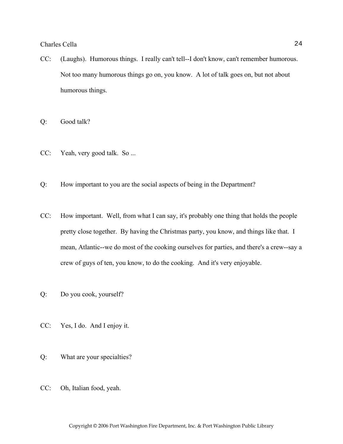CC: (Laughs). Humorous things. I really can't tell--I don't know, can't remember humorous. Not too many humorous things go on, you know. A lot of talk goes on, but not about humorous things.

Q: Good talk?

- CC: Yeah, very good talk. So ...
- Q: How important to you are the social aspects of being in the Department?
- CC: How important. Well, from what I can say, it's probably one thing that holds the people pretty close together. By having the Christmas party, you know, and things like that. I mean, Atlantic--we do most of the cooking ourselves for parties, and there's a crew--say a crew of guys of ten, you know, to do the cooking. And it's very enjoyable.
- Q: Do you cook, yourself?
- CC: Yes, I do. And I enjoy it.
- Q: What are your specialties?
- CC: Oh, Italian food, yeah.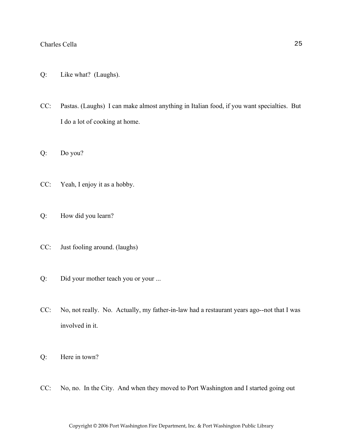- Q: Like what? (Laughs).
- CC: Pastas. (Laughs) I can make almost anything in Italian food, if you want specialties. But I do a lot of cooking at home.
- Q: Do you?
- CC: Yeah, I enjoy it as a hobby.
- Q: How did you learn?
- CC: Just fooling around. (laughs)
- Q: Did your mother teach you or your ...
- CC: No, not really. No. Actually, my father-in-law had a restaurant years ago--not that I was involved in it.
- Q: Here in town?
- CC: No, no. In the City. And when they moved to Port Washington and I started going out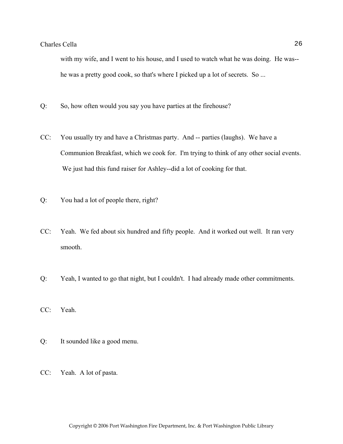with my wife, and I went to his house, and I used to watch what he was doing. He was- he was a pretty good cook, so that's where I picked up a lot of secrets. So ...

- Q: So, how often would you say you have parties at the firehouse?
- CC: You usually try and have a Christmas party. And -- parties (laughs). We have a Communion Breakfast, which we cook for. I'm trying to think of any other social events. We just had this fund raiser for Ashley--did a lot of cooking for that.
- Q: You had a lot of people there, right?
- CC: Yeah. We fed about six hundred and fifty people. And it worked out well. It ran very smooth.
- Q: Yeah, I wanted to go that night, but I couldn't. I had already made other commitments.
- CC: Yeah.
- Q: It sounded like a good menu.
- CC: Yeah. A lot of pasta.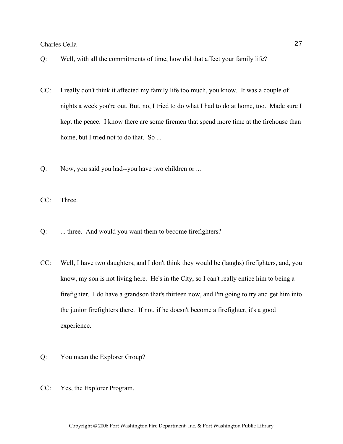- Q: Well, with all the commitments of time, how did that affect your family life?
- CC: I really don't think it affected my family life too much, you know. It was a couple of nights a week you're out. But, no, I tried to do what I had to do at home, too. Made sure I kept the peace. I know there are some firemen that spend more time at the firehouse than home, but I tried not to do that. So ...
- Q: Now, you said you had--you have two children or ...

CC: Three.

- Q: ... three. And would you want them to become firefighters?
- CC: Well, I have two daughters, and I don't think they would be (laughs) firefighters, and, you know, my son is not living here. He's in the City, so I can't really entice him to being a firefighter. I do have a grandson that's thirteen now, and I'm going to try and get him into the junior firefighters there. If not, if he doesn't become a firefighter, it's a good experience.
- Q: You mean the Explorer Group?
- CC: Yes, the Explorer Program.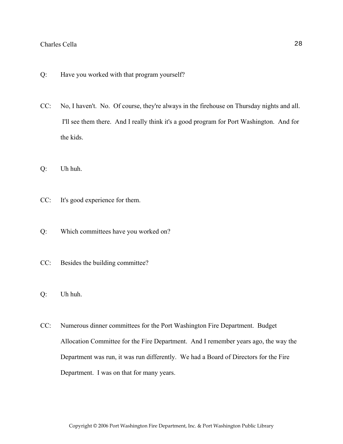- Q: Have you worked with that program yourself?
- CC: No, I haven't. No. Of course, they're always in the firehouse on Thursday nights and all. I'll see them there. And I really think it's a good program for Port Washington. And for the kids.
- Q: Uh huh.
- CC: It's good experience for them.
- Q: Which committees have you worked on?
- CC: Besides the building committee?
- Q: Uh huh.
- CC: Numerous dinner committees for the Port Washington Fire Department. Budget Allocation Committee for the Fire Department. And I remember years ago, the way the Department was run, it was run differently. We had a Board of Directors for the Fire Department. I was on that for many years.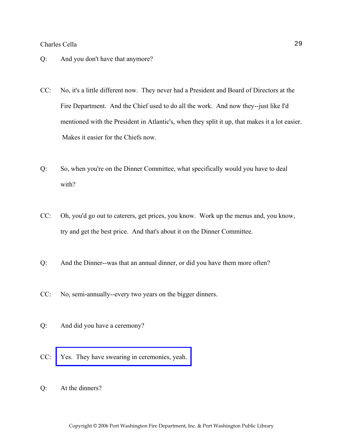- Q: And you don't have that anymore?
- CC: No, it's a little different now. They never had a President and Board of Directors at the Fire Department. And the Chief used to do all the work. And now they--just like I'd mentioned with the President in Atlantic's, when they split it up, that makes it a lot easier. Makes it easier for the Chiefs now.
- Q: So, when you're on the Dinner Committee, what specifically would you have to deal with?
- CC: Oh, you'd go out to caterers, get prices, you know. Work up the menus and, you know, try and get the best price. And that's about it on the Dinner Committee.
- Q: And the Dinner--was that an annual dinner, or did you have them more often?
- CC: No, semi-annually--every two years on the bigger dinners.
- Q: And did you have a ceremony?
- CC: [Yes. They have swearing in ceremonies, yeah.](http://www.pwfdhistory.com/trans/cellac_trans/news_cocks052.jpg)
- Q: At the dinners?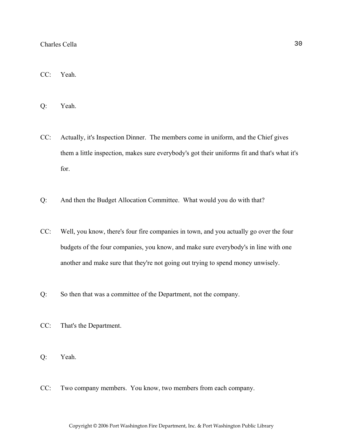- CC: Yeah.
- Q: Yeah.
- CC: Actually, it's Inspection Dinner. The members come in uniform, and the Chief gives them a little inspection, makes sure everybody's got their uniforms fit and that's what it's for.
- Q: And then the Budget Allocation Committee. What would you do with that?
- CC: Well, you know, there's four fire companies in town, and you actually go over the four budgets of the four companies, you know, and make sure everybody's in line with one another and make sure that they're not going out trying to spend money unwisely.
- Q: So then that was a committee of the Department, not the company.
- CC: That's the Department.
- Q: Yeah.
- CC: Two company members. You know, two members from each company.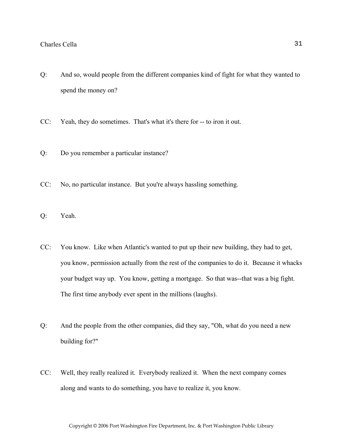- Q: And so, would people from the different companies kind of fight for what they wanted to spend the money on?
- CC: Yeah, they do sometimes. That's what it's there for -- to iron it out.
- Q: Do you remember a particular instance?
- CC: No, no particular instance. But you're always hassling something.
- Q: Yeah.
- CC: You know. Like when Atlantic's wanted to put up their new building, they had to get, you know, permission actually from the rest of the companies to do it. Because it whacks your budget way up. You know, getting a mortgage. So that was--that was a big fight. The first time anybody ever spent in the millions (laughs).
- Q: And the people from the other companies, did they say, "Oh, what do you need a new building for?"
- CC: Well, they really realized it. Everybody realized it. When the next company comes along and wants to do something, you have to realize it, you know.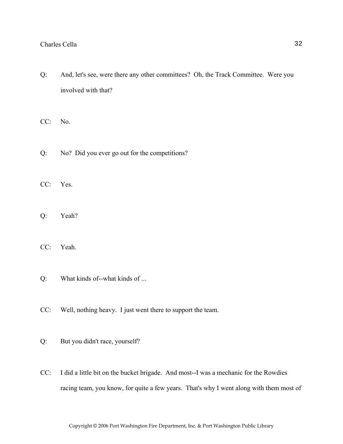Q: And, let's see, were there any other committees? Oh, the Track Committee. Were you involved with that?

CC: No.

- Q: No? Did you ever go out for the competitions?
- CC: Yes.
- Q: Yeah?
- CC: Yeah.
- Q: What kinds of--what kinds of ...
- CC: Well, nothing heavy. I just went there to support the team.
- Q: But you didn't race, yourself?
- CC: I did a little bit on the bucket brigade. And most--I was a mechanic for the Rowdies racing team, you know, for quite a few years. That's why I went along with them most of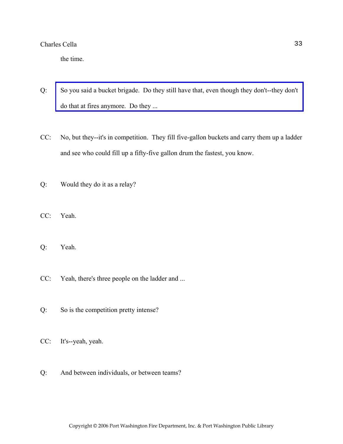the time.

- Q: [So you said a bucket brigade. Do they still have that, even though they don't--they don't](http://www.pwfdhistory.com/trans/cellac_trans/pwfd_racing010.jpg)  do that at fires anymore. Do they ...
- CC: No, but they--it's in competition. They fill five-gallon buckets and carry them up a ladder and see who could fill up a fifty-five gallon drum the fastest, you know.
- Q: Would they do it as a relay?
- CC: Yeah.
- Q: Yeah.
- CC: Yeah, there's three people on the ladder and ...
- Q: So is the competition pretty intense?
- CC: It's--yeah, yeah.
- Q: And between individuals, or between teams?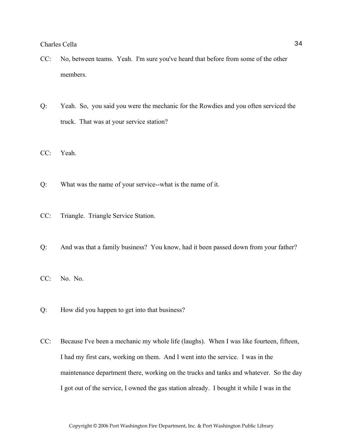- CC: No, between teams. Yeah. I'm sure you've heard that before from some of the other members.
- Q: Yeah. So, you said you were the mechanic for the Rowdies and you often serviced the truck. That was at your service station?
- CC: Yeah.
- Q: What was the name of your service--what is the name of it.
- CC: Triangle. Triangle Service Station.
- Q: And was that a family business? You know, had it been passed down from your father?
- CC: No. No.
- Q: How did you happen to get into that business?
- CC: Because I've been a mechanic my whole life (laughs). When I was like fourteen, fifteen, I had my first cars, working on them. And I went into the service. I was in the maintenance department there, working on the trucks and tanks and whatever. So the day I got out of the service, I owned the gas station already. I bought it while I was in the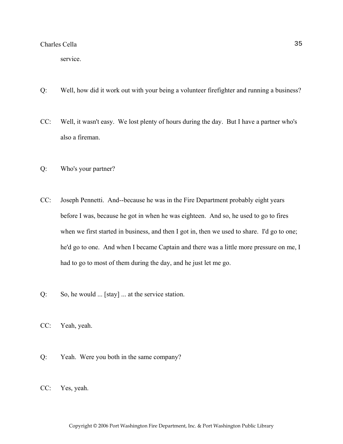service.

- Q: Well, how did it work out with your being a volunteer firefighter and running a business?
- CC: Well, it wasn't easy. We lost plenty of hours during the day. But I have a partner who's also a fireman.
- Q: Who's your partner?
- CC: Joseph Pennetti. And--because he was in the Fire Department probably eight years before I was, because he got in when he was eighteen. And so, he used to go to fires when we first started in business, and then I got in, then we used to share. I'd go to one; he'd go to one. And when I became Captain and there was a little more pressure on me, I had to go to most of them during the day, and he just let me go.
- Q: So, he would ... [stay] ... at the service station.
- CC: Yeah, yeah.
- Q: Yeah. Were you both in the same company?
- CC: Yes, yeah.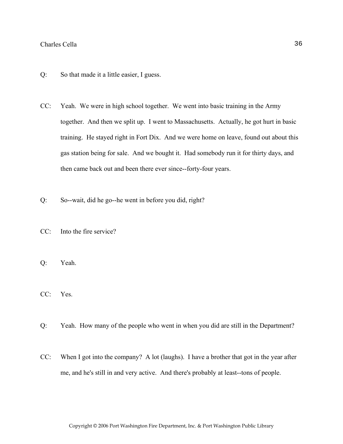- Q: So that made it a little easier, I guess.
- CC: Yeah. We were in high school together. We went into basic training in the Army together. And then we split up. I went to Massachusetts. Actually, he got hurt in basic training. He stayed right in Fort Dix. And we were home on leave, found out about this gas station being for sale. And we bought it. Had somebody run it for thirty days, and then came back out and been there ever since--forty-four years.
- Q: So--wait, did he go--he went in before you did, right?
- CC: Into the fire service?
- Q: Yeah.
- CC: Yes.
- Q: Yeah. How many of the people who went in when you did are still in the Department?
- CC: When I got into the company? A lot (laughs). I have a brother that got in the year after me, and he's still in and very active. And there's probably at least--tons of people.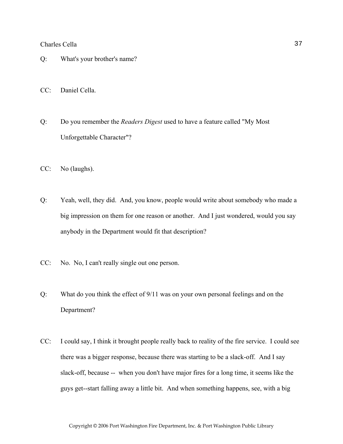- Q: What's your brother's name?
- CC: Daniel Cella.
- Q: Do you remember the *Readers Digest* used to have a feature called "My Most Unforgettable Character"?
- CC: No (laughs).
- Q: Yeah, well, they did. And, you know, people would write about somebody who made a big impression on them for one reason or another. And I just wondered, would you say anybody in the Department would fit that description?
- CC: No. No, I can't really single out one person.
- Q: What do you think the effect of 9/11 was on your own personal feelings and on the Department?
- CC: I could say, I think it brought people really back to reality of the fire service. I could see there was a bigger response, because there was starting to be a slack-off. And I say slack-off, because -- when you don't have major fires for a long time, it seems like the guys get--start falling away a little bit. And when something happens, see, with a big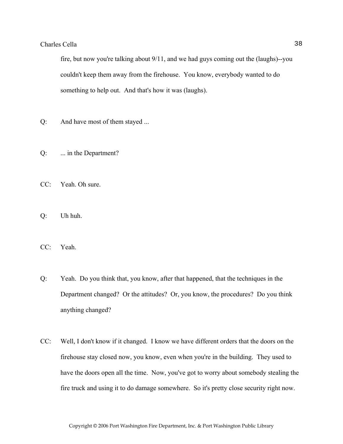fire, but now you're talking about 9/11, and we had guys coming out the (laughs)--you couldn't keep them away from the firehouse. You know, everybody wanted to do something to help out. And that's how it was (laughs).

- Q: And have most of them stayed ...
- Q: ... in the Department?
- CC: Yeah. Oh sure.
- Q: Uh huh.
- CC: Yeah.
- Q: Yeah. Do you think that, you know, after that happened, that the techniques in the Department changed? Or the attitudes? Or, you know, the procedures? Do you think anything changed?
- CC: Well, I don't know if it changed. I know we have different orders that the doors on the firehouse stay closed now, you know, even when you're in the building. They used to have the doors open all the time. Now, you've got to worry about somebody stealing the fire truck and using it to do damage somewhere. So it's pretty close security right now.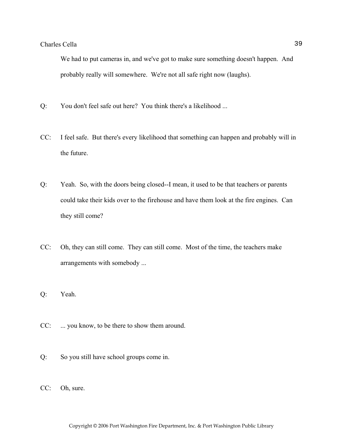We had to put cameras in, and we've got to make sure something doesn't happen. And probably really will somewhere. We're not all safe right now (laughs).

- Q: You don't feel safe out here? You think there's a likelihood ...
- CC: I feel safe. But there's every likelihood that something can happen and probably will in the future.
- Q: Yeah. So, with the doors being closed--I mean, it used to be that teachers or parents could take their kids over to the firehouse and have them look at the fire engines. Can they still come?
- CC: Oh, they can still come. They can still come. Most of the time, the teachers make arrangements with somebody ...
- Q: Yeah.
- CC: ... you know, to be there to show them around.
- Q: So you still have school groups come in.
- CC: Oh, sure.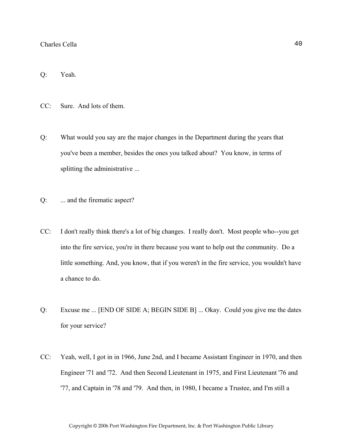Q: Yeah.

CC: Sure. And lots of them.

- Q: What would you say are the major changes in the Department during the years that you've been a member, besides the ones you talked about? You know, in terms of splitting the administrative ...
- Q: ... and the firematic aspect?
- CC: I don't really think there's a lot of big changes. I really don't. Most people who--you get into the fire service, you're in there because you want to help out the community. Do a little something. And, you know, that if you weren't in the fire service, you wouldn't have a chance to do.
- Q: Excuse me ... [END OF SIDE A; BEGIN SIDE B] ... Okay. Could you give me the dates for your service?
- CC: Yeah, well, I got in in 1966, June 2nd, and I became Assistant Engineer in 1970, and then Engineer '71 and '72. And then Second Lieutenant in 1975, and First Lieutenant '76 and '77, and Captain in '78 and '79. And then, in 1980, I became a Trustee, and I'm still a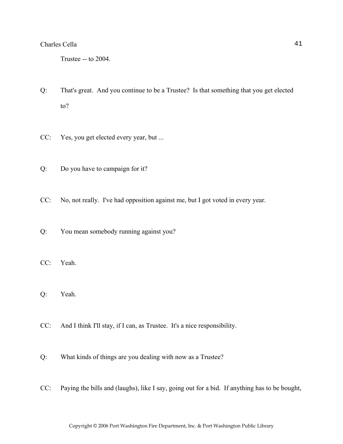Trustee -- to 2004.

- Q: That's great. And you continue to be a Trustee? Is that something that you get elected to?
- CC: Yes, you get elected every year, but ...
- Q: Do you have to campaign for it?
- CC: No, not really. I've had opposition against me, but I got voted in every year.
- Q: You mean somebody running against you?
- CC: Yeah.
- Q: Yeah.
- CC: And I think I'll stay, if I can, as Trustee. It's a nice responsibility.
- Q: What kinds of things are you dealing with now as a Trustee?
- CC: Paying the bills and (laughs), like I say, going out for a bid. If anything has to be bought,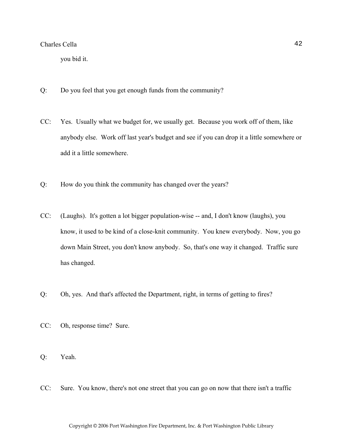you bid it.

- Q: Do you feel that you get enough funds from the community?
- CC: Yes. Usually what we budget for, we usually get. Because you work off of them, like anybody else. Work off last year's budget and see if you can drop it a little somewhere or add it a little somewhere.
- Q: How do you think the community has changed over the years?
- CC: (Laughs). It's gotten a lot bigger population-wise -- and, I don't know (laughs), you know, it used to be kind of a close-knit community. You knew everybody. Now, you go down Main Street, you don't know anybody. So, that's one way it changed. Traffic sure has changed.
- Q: Oh, yes. And that's affected the Department, right, in terms of getting to fires?
- CC: Oh, response time? Sure.
- Q: Yeah.
- CC: Sure. You know, there's not one street that you can go on now that there isn't a traffic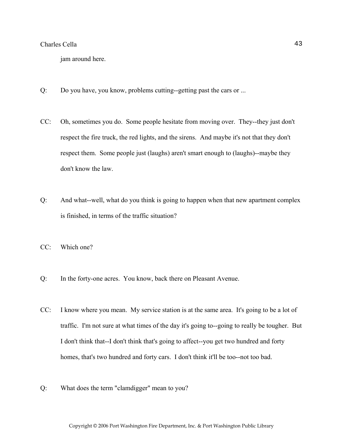jam around here.

- Q: Do you have, you know, problems cutting--getting past the cars or ...
- CC: Oh, sometimes you do. Some people hesitate from moving over. They--they just don't respect the fire truck, the red lights, and the sirens. And maybe it's not that they don't respect them. Some people just (laughs) aren't smart enough to (laughs)--maybe they don't know the law.
- Q: And what--well, what do you think is going to happen when that new apartment complex is finished, in terms of the traffic situation?
- CC: Which one?
- Q: In the forty-one acres. You know, back there on Pleasant Avenue.
- CC: I know where you mean. My service station is at the same area. It's going to be a lot of traffic. I'm not sure at what times of the day it's going to--going to really be tougher. But I don't think that--I don't think that's going to affect--you get two hundred and forty homes, that's two hundred and forty cars. I don't think it'll be too--not too bad.
- Q: What does the term "clamdigger" mean to you?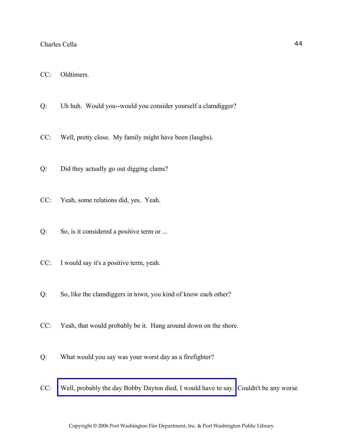- CC: Oldtimers.
- Q: Uh huh. Would you--would you consider yourself a clamdigger?
- CC: Well, pretty close. My family might have been (laughs).
- Q: Did they actually go out digging clams?
- CC: Yeah, some relations did, yes. Yeah.
- Q: So, is it considered a positive term or ...
- CC: I would say it's a positive term, yeah.
- Q: So, like the clamdiggers in town, you kind of know each other?
- CC: Yeah, that would probably be it. Hang around down on the shore.
- Q: What would you say was your worst day as a firefighter?
- CC: [Well, probably the day Bobby Dayton died, I would have to say.](http://www.pwfdhistory.com/trans/cellac_trans/pnews881201_pz.pdf) Couldn't be any worse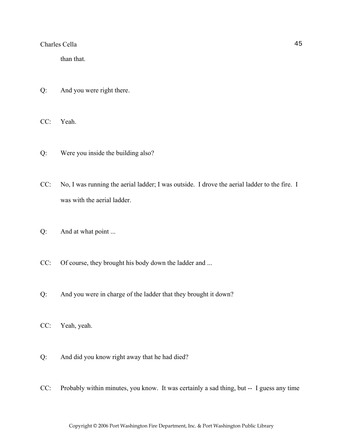than that.

- Q: And you were right there.
- CC: Yeah.
- Q: Were you inside the building also?
- CC: No, I was running the aerial ladder; I was outside. I drove the aerial ladder to the fire. I was with the aerial ladder.
- Q: And at what point ...
- CC: Of course, they brought his body down the ladder and ...
- Q: And you were in charge of the ladder that they brought it down?
- CC: Yeah, yeah.
- Q: And did you know right away that he had died?
- CC: Probably within minutes, you know. It was certainly a sad thing, but -- I guess any time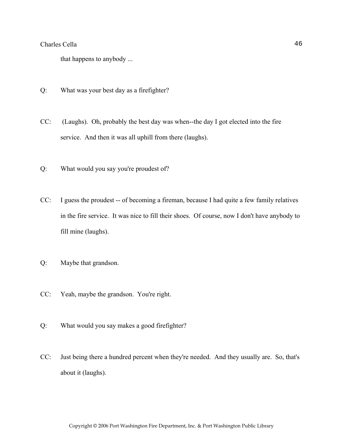that happens to anybody ...

- Q: What was your best day as a firefighter?
- CC: (Laughs). Oh, probably the best day was when--the day I got elected into the fire service. And then it was all uphill from there (laughs).
- Q: What would you say you're proudest of?
- CC: I guess the proudest -- of becoming a fireman, because I had quite a few family relatives in the fire service. It was nice to fill their shoes. Of course, now I don't have anybody to fill mine (laughs).
- Q: Maybe that grandson.
- CC: Yeah, maybe the grandson. You're right.
- Q: What would you say makes a good firefighter?
- CC: Just being there a hundred percent when they're needed. And they usually are. So, that's about it (laughs).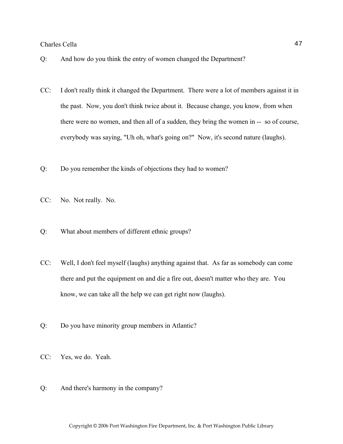- Q: And how do you think the entry of women changed the Department?
- CC: I don't really think it changed the Department. There were a lot of members against it in the past. Now, you don't think twice about it. Because change, you know, from when there were no women, and then all of a sudden, they bring the women in -- so of course, everybody was saying, "Uh oh, what's going on?" Now, it's second nature (laughs).
- Q: Do you remember the kinds of objections they had to women?
- CC: No. Not really. No.
- Q: What about members of different ethnic groups?
- CC: Well, I don't feel myself (laughs) anything against that. As far as somebody can come there and put the equipment on and die a fire out, doesn't matter who they are. You know, we can take all the help we can get right now (laughs).
- Q: Do you have minority group members in Atlantic?
- CC: Yes, we do. Yeah.
- Q: And there's harmony in the company?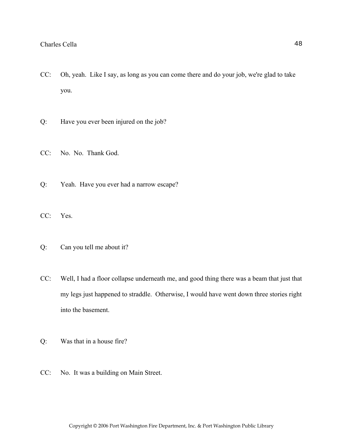- CC: Oh, yeah. Like I say, as long as you can come there and do your job, we're glad to take you.
- Q: Have you ever been injured on the job?
- CC: No. No. Thank God.
- Q: Yeah. Have you ever had a narrow escape?
- CC: Yes.
- Q: Can you tell me about it?
- CC: Well, I had a floor collapse underneath me, and good thing there was a beam that just that my legs just happened to straddle. Otherwise, I would have went down three stories right into the basement.
- Q: Was that in a house fire?
- CC: No. It was a building on Main Street.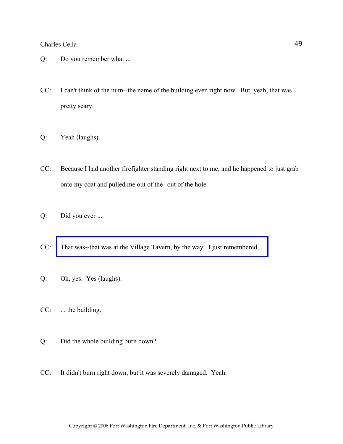- Q: Do you remember what ...
- CC: I can't think of the num--the name of the building even right now. But, yeah, that was pretty scary.
- Q: Yeah (laughs).
- CC: Because I had another firefighter standing right next to me, and he happened to just grab onto my coat and pulled me out of the--out of the hole.
- Q: Did you ever ...
- CC: [That was--that was at the Village Tavern, by the way. I just remembered ...](http://www.pwfdhistory.com/trans/cellac_trans/pwfd_fires02.jpg)
- Q: Oh, yes. Yes (laughs).
- CC: ... the building.
- Q: Did the whole building burn down?
- CC: It didn't burn right down, but it was severely damaged. Yeah.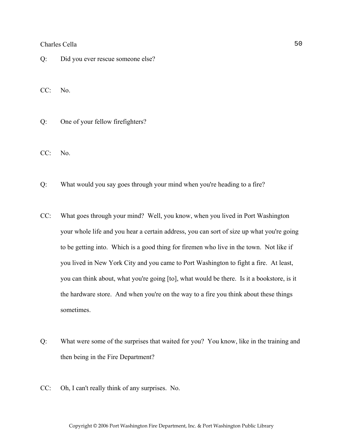Q: Did you ever rescue someone else?

CC: No.

Q: One of your fellow firefighters?

CC: No.

- Q: What would you say goes through your mind when you're heading to a fire?
- CC: What goes through your mind? Well, you know, when you lived in Port Washington your whole life and you hear a certain address, you can sort of size up what you're going to be getting into. Which is a good thing for firemen who live in the town. Not like if you lived in New York City and you came to Port Washington to fight a fire. At least, you can think about, what you're going [to], what would be there. Is it a bookstore, is it the hardware store. And when you're on the way to a fire you think about these things sometimes.
- Q: What were some of the surprises that waited for you? You know, like in the training and then being in the Fire Department?
- CC: Oh, I can't really think of any surprises. No.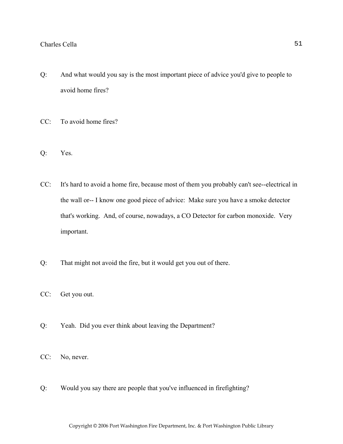- Q: And what would you say is the most important piece of advice you'd give to people to avoid home fires?
- CC: To avoid home fires?
- Q: Yes.
- CC: It's hard to avoid a home fire, because most of them you probably can't see--electrical in the wall or-- I know one good piece of advice: Make sure you have a smoke detector that's working. And, of course, nowadays, a CO Detector for carbon monoxide. Very important.
- Q: That might not avoid the fire, but it would get you out of there.
- CC: Get you out.
- Q: Yeah. Did you ever think about leaving the Department?
- CC: No, never.
- Q: Would you say there are people that you've influenced in firefighting?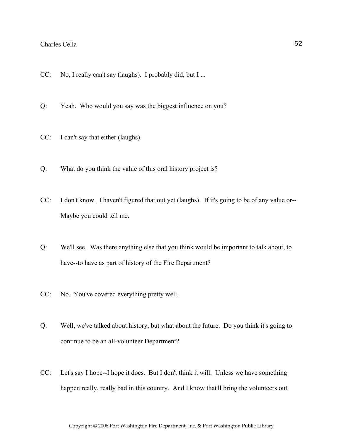- CC: No, I really can't say (laughs). I probably did, but I ...
- Q: Yeah. Who would you say was the biggest influence on you?
- CC: I can't say that either (laughs).
- Q: What do you think the value of this oral history project is?
- CC: I don't know. I haven't figured that out yet (laughs). If it's going to be of any value or-- Maybe you could tell me.
- Q: We'll see. Was there anything else that you think would be important to talk about, to have--to have as part of history of the Fire Department?
- CC: No. You've covered everything pretty well.
- Q: Well, we've talked about history, but what about the future. Do you think it's going to continue to be an all-volunteer Department?
- CC: Let's say I hope--I hope it does. But I don't think it will. Unless we have something happen really, really bad in this country. And I know that'll bring the volunteers out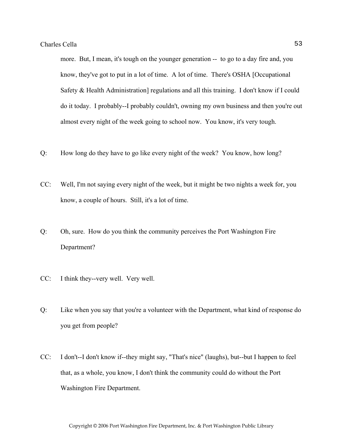more. But, I mean, it's tough on the younger generation -- to go to a day fire and, you know, they've got to put in a lot of time. A lot of time. There's OSHA [Occupational Safety & Health Administration] regulations and all this training. I don't know if I could do it today. I probably--I probably couldn't, owning my own business and then you're out almost every night of the week going to school now. You know, it's very tough.

- Q: How long do they have to go like every night of the week? You know, how long?
- CC: Well, I'm not saying every night of the week, but it might be two nights a week for, you know, a couple of hours. Still, it's a lot of time.
- Q: Oh, sure. How do you think the community perceives the Port Washington Fire Department?
- CC: I think they--very well. Very well.
- Q: Like when you say that you're a volunteer with the Department, what kind of response do you get from people?
- CC: I don't--I don't know if--they might say, "That's nice" (laughs), but--but I happen to feel that, as a whole, you know, I don't think the community could do without the Port Washington Fire Department.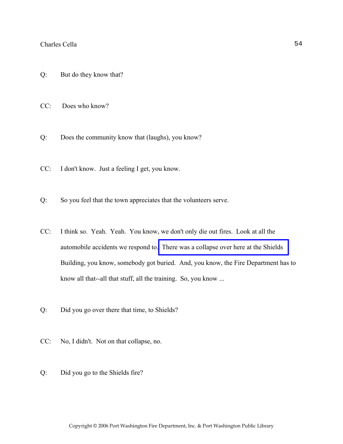- Q: But do they know that?
- CC: Does who know?
- Q: Does the community know that (laughs), you know?
- CC: I don't know. Just a feeling I get, you know.
- Q: So you feel that the town appreciates that the volunteers serve.
- CC: I think so. Yeah. Yeah. You know, we don't only die out fires. Look at all the automobile accidents we respond to. [There was a collapse over here at the Shields](http://www.pwfdhistory.com/trans/cellac_trans/fnews_861028_hw.pdf)  Building, you know, somebody got buried. And, you know, the Fire Department has to know all that--all that stuff, all the training. So, you know ...
- Q: Did you go over there that time, to Shields?
- CC: No, I didn't. Not on that collapse, no.
- Q: Did you go to the Shields fire?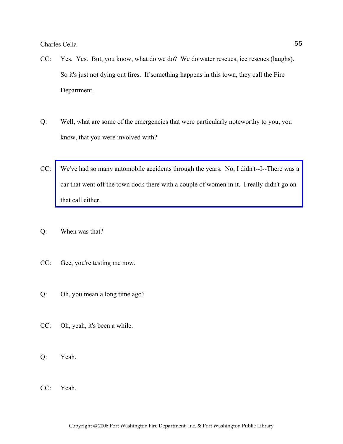- CC: Yes. Yes. But, you know, what do we do? We do water rescues, ice rescues (laughs). So it's just not dying out fires. If something happens in this town, they call the Fire Department.
- Q: Well, what are some of the emergencies that were particularly noteworthy to you, you know, that you were involved with?
- CC: [We've had so many automobile accidents through the years. No, I didn't--I--There was a](http://www.pwfdhistory.com/trans/cellac_trans/news_cocks025.jpg)  car that went off the town dock there with a couple of women in it. I really didn't go on that call either.
- Q: When was that?
- CC: Gee, you're testing me now.
- Q: Oh, you mean a long time ago?
- CC: Oh, yeah, it's been a while.
- Q: Yeah.
- CC: Yeah.